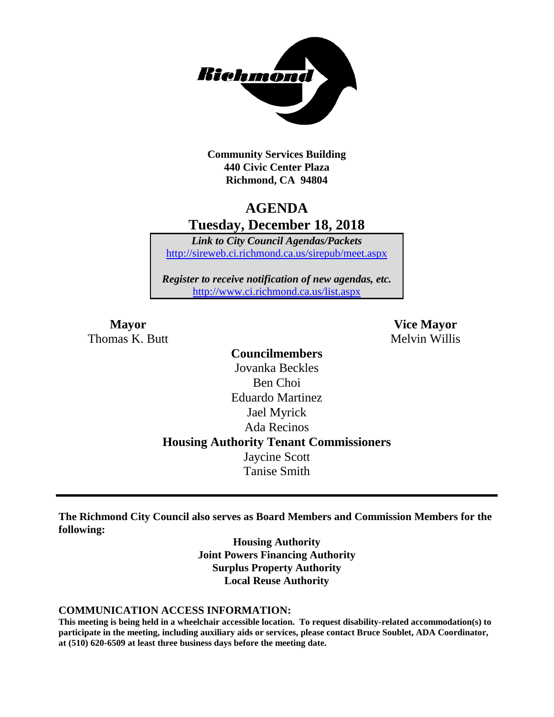

**Community Services Building 440 Civic Center Plaza Richmond, CA 94804**

## **AGENDA Tuesday, December 18, 2018**

*Link to City Council Agendas/Packets* <http://sireweb.ci.richmond.ca.us/sirepub/meet.aspx>

*Register to receive notification of new agendas, etc.* <http://www.ci.richmond.ca.us/list.aspx>

Thomas K. Butt Melvin Willis

**Mayor Vice Mayor**

**Councilmembers** Jovanka Beckles Ben Choi Eduardo Martinez Jael Myrick Ada Recinos **Housing Authority Tenant Commissioners** Jaycine Scott Tanise Smith

**The Richmond City Council also serves as Board Members and Commission Members for the following:**

> **Housing Authority Joint Powers Financing Authority Surplus Property Authority Local Reuse Authority**

#### **COMMUNICATION ACCESS INFORMATION:**

**This meeting is being held in a wheelchair accessible location. To request disability-related accommodation(s) to participate in the meeting, including auxiliary aids or services, please contact Bruce Soublet, ADA Coordinator, at (510) 620-6509 at least three business days before the meeting date.**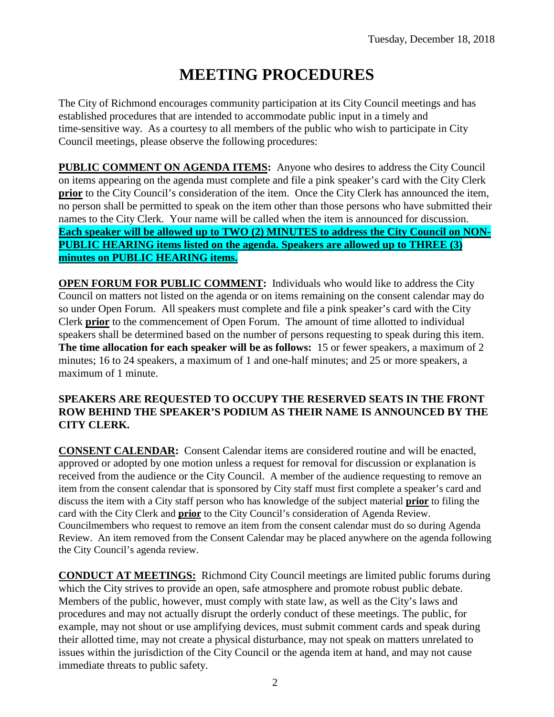# **MEETING PROCEDURES**

The City of Richmond encourages community participation at its City Council meetings and has established procedures that are intended to accommodate public input in a timely and time-sensitive way. As a courtesy to all members of the public who wish to participate in City Council meetings, please observe the following procedures:

**PUBLIC COMMENT ON AGENDA ITEMS:** Anyone who desires to address the City Council on items appearing on the agenda must complete and file a pink speaker's card with the City Clerk **prior** to the City Council's consideration of the item. Once the City Clerk has announced the item, no person shall be permitted to speak on the item other than those persons who have submitted their names to the City Clerk. Your name will be called when the item is announced for discussion. **Each speaker will be allowed up to TWO (2) MINUTES to address the City Council on NON-PUBLIC HEARING items listed on the agenda. Speakers are allowed up to THREE (3) minutes on PUBLIC HEARING items.**

**OPEN FORUM FOR PUBLIC COMMENT:** Individuals who would like to address the City Council on matters not listed on the agenda or on items remaining on the consent calendar may do so under Open Forum. All speakers must complete and file a pink speaker's card with the City Clerk **prior** to the commencement of Open Forum. The amount of time allotted to individual speakers shall be determined based on the number of persons requesting to speak during this item. **The time allocation for each speaker will be as follows:** 15 or fewer speakers, a maximum of 2 minutes; 16 to 24 speakers, a maximum of 1 and one-half minutes; and 25 or more speakers, a maximum of 1 minute.

#### **SPEAKERS ARE REQUESTED TO OCCUPY THE RESERVED SEATS IN THE FRONT ROW BEHIND THE SPEAKER'S PODIUM AS THEIR NAME IS ANNOUNCED BY THE CITY CLERK.**

**CONSENT CALENDAR:** Consent Calendar items are considered routine and will be enacted, approved or adopted by one motion unless a request for removal for discussion or explanation is received from the audience or the City Council. A member of the audience requesting to remove an item from the consent calendar that is sponsored by City staff must first complete a speaker's card and discuss the item with a City staff person who has knowledge of the subject material **prior** to filing the card with the City Clerk and **prior** to the City Council's consideration of Agenda Review. Councilmembers who request to remove an item from the consent calendar must do so during Agenda Review. An item removed from the Consent Calendar may be placed anywhere on the agenda following the City Council's agenda review.

**CONDUCT AT MEETINGS:** Richmond City Council meetings are limited public forums during which the City strives to provide an open, safe atmosphere and promote robust public debate. Members of the public, however, must comply with state law, as well as the City's laws and procedures and may not actually disrupt the orderly conduct of these meetings. The public, for example, may not shout or use amplifying devices, must submit comment cards and speak during their allotted time, may not create a physical disturbance, may not speak on matters unrelated to issues within the jurisdiction of the City Council or the agenda item at hand, and may not cause immediate threats to public safety.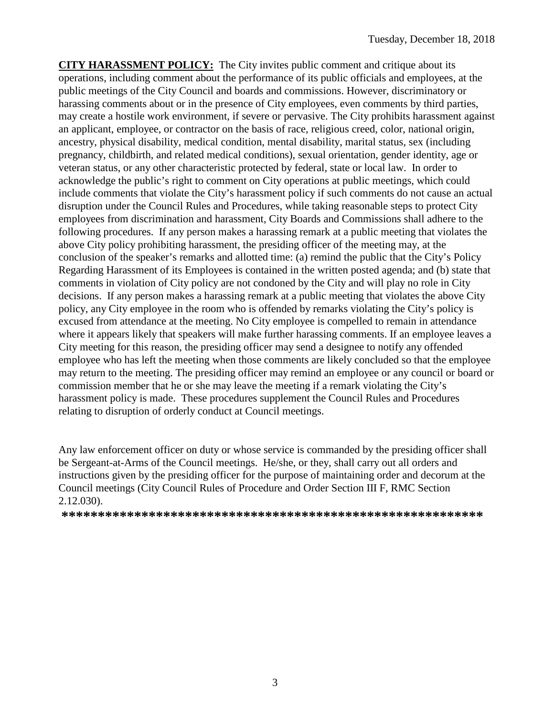**CITY HARASSMENT POLICY:** The City invites public comment and critique about its operations, including comment about the performance of its public officials and employees, at the public meetings of the City Council and boards and commissions. However, discriminatory or harassing comments about or in the presence of City employees, even comments by third parties, may create a hostile work environment, if severe or pervasive. The City prohibits harassment against an applicant, employee, or contractor on the basis of race, religious creed, color, national origin, ancestry, physical disability, medical condition, mental disability, marital status, sex (including pregnancy, childbirth, and related medical conditions), sexual orientation, gender identity, age or veteran status, or any other characteristic protected by federal, state or local law. In order to acknowledge the public's right to comment on City operations at public meetings, which could include comments that violate the City's harassment policy if such comments do not cause an actual disruption under the Council Rules and Procedures, while taking reasonable steps to protect City employees from discrimination and harassment, City Boards and Commissions shall adhere to the following procedures. If any person makes a harassing remark at a public meeting that violates the above City policy prohibiting harassment, the presiding officer of the meeting may, at the conclusion of the speaker's remarks and allotted time: (a) remind the public that the City's Policy Regarding Harassment of its Employees is contained in the written posted agenda; and (b) state that comments in violation of City policy are not condoned by the City and will play no role in City decisions. If any person makes a harassing remark at a public meeting that violates the above City policy, any City employee in the room who is offended by remarks violating the City's policy is excused from attendance at the meeting. No City employee is compelled to remain in attendance where it appears likely that speakers will make further harassing comments. If an employee leaves a City meeting for this reason, the presiding officer may send a designee to notify any offended employee who has left the meeting when those comments are likely concluded so that the employee may return to the meeting. The presiding officer may remind an employee or any council or board or commission member that he or she may leave the meeting if a remark violating the City's harassment policy is made. These procedures supplement the Council Rules and Procedures relating to disruption of orderly conduct at Council meetings.

Any law enforcement officer on duty or whose service is commanded by the presiding officer shall be Sergeant-at-Arms of the Council meetings. He/she, or they, shall carry out all orders and instructions given by the presiding officer for the purpose of maintaining order and decorum at the Council meetings (City Council Rules of Procedure and Order Section III F, RMC Section 2.12.030).

**\*\*\*\*\*\*\*\*\*\*\*\*\*\*\*\*\*\*\*\*\*\*\*\*\*\*\*\*\*\*\*\*\*\*\*\*\*\*\*\*\*\*\*\*\*\*\*\*\*\*\*\*\*\*\*\*\*\***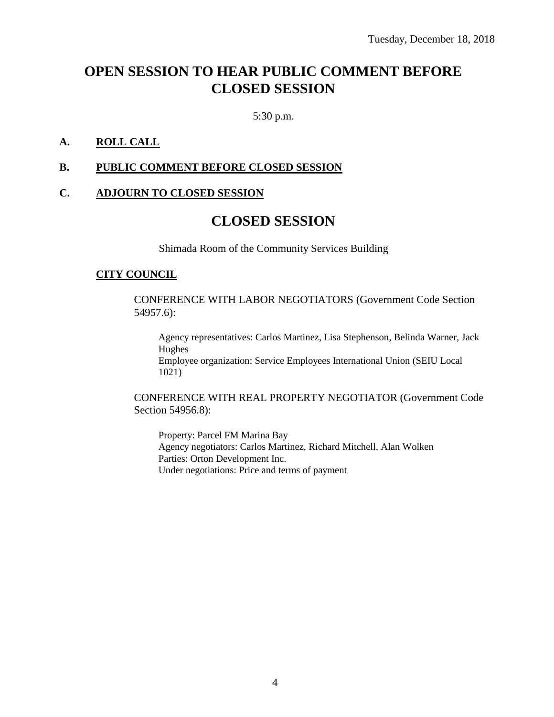## **OPEN SESSION TO HEAR PUBLIC COMMENT BEFORE CLOSED SESSION**

5:30 p.m.

#### **A. ROLL CALL**

#### **B. PUBLIC COMMENT BEFORE CLOSED SESSION**

#### **C. ADJOURN TO CLOSED SESSION**

## **CLOSED SESSION**

Shimada Room of the Community Services Building

#### **CITY COUNCIL**

CONFERENCE WITH LABOR NEGOTIATORS (Government Code Section 54957.6):

Agency representatives: Carlos Martinez, Lisa Stephenson, Belinda Warner, Jack Hughes Employee organization: Service Employees International Union (SEIU Local 1021)

CONFERENCE WITH REAL PROPERTY NEGOTIATOR (Government Code Section 54956.8):

Property: Parcel FM Marina Bay Agency negotiators: Carlos Martinez, Richard Mitchell, Alan Wolken Parties: Orton Development Inc. Under negotiations: Price and terms of payment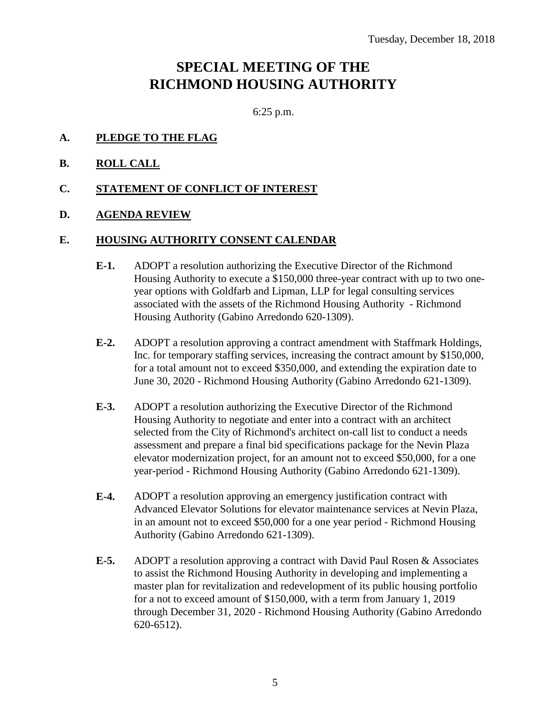## **SPECIAL MEETING OF THE RICHMOND HOUSING AUTHORITY**

6:25 p.m.

- **A. PLEDGE TO THE FLAG**
- **B. ROLL CALL**
- **C. STATEMENT OF CONFLICT OF INTEREST**
- **D. AGENDA REVIEW**

#### **E. HOUSING AUTHORITY CONSENT CALENDAR**

- **E-1.** ADOPT a resolution authorizing the Executive Director of the Richmond Housing Authority to execute a \$150,000 three-year contract with up to two oneyear options with Goldfarb and Lipman, LLP for legal consulting services associated with the assets of the Richmond Housing Authority - Richmond Housing Authority (Gabino Arredondo 620-1309).
- **E-2.** ADOPT a resolution approving a contract amendment with Staffmark Holdings, Inc. for temporary staffing services, increasing the contract amount by \$150,000, for a total amount not to exceed \$350,000, and extending the expiration date to June 30, 2020 - Richmond Housing Authority (Gabino Arredondo 621-1309).
- **E-3.** ADOPT a resolution authorizing the Executive Director of the Richmond Housing Authority to negotiate and enter into a contract with an architect selected from the City of Richmond's architect on-call list to conduct a needs assessment and prepare a final bid specifications package for the Nevin Plaza elevator modernization project, for an amount not to exceed \$50,000, for a one year-period - Richmond Housing Authority (Gabino Arredondo 621-1309).
- **E-4.** ADOPT a resolution approving an emergency justification contract with Advanced Elevator Solutions for elevator maintenance services at Nevin Plaza, in an amount not to exceed \$50,000 for a one year period - Richmond Housing Authority (Gabino Arredondo 621-1309).
- **E-5.** ADOPT a resolution approving a contract with David Paul Rosen & Associates to assist the Richmond Housing Authority in developing and implementing a master plan for revitalization and redevelopment of its public housing portfolio for a not to exceed amount of \$150,000, with a term from January 1, 2019 through December 31, 2020 - Richmond Housing Authority (Gabino Arredondo 620-6512).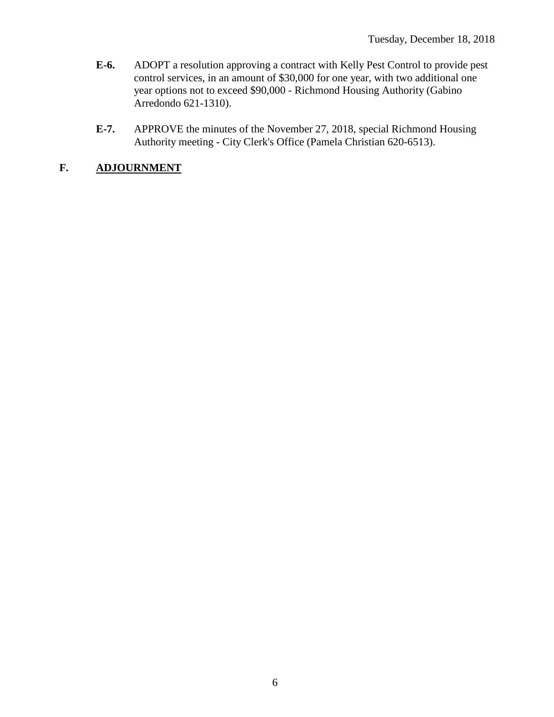- **E-6.** ADOPT a resolution approving a contract with Kelly Pest Control to provide pest control services, in an amount of \$30,000 for one year, with two additional one year options not to exceed \$90,000 - Richmond Housing Authority (Gabino Arredondo 621-1310).
- **E-7.** APPROVE the minutes of the November 27, 2018, special Richmond Housing Authority meeting - City Clerk's Office (Pamela Christian 620-6513).

## **F. ADJOURNMENT**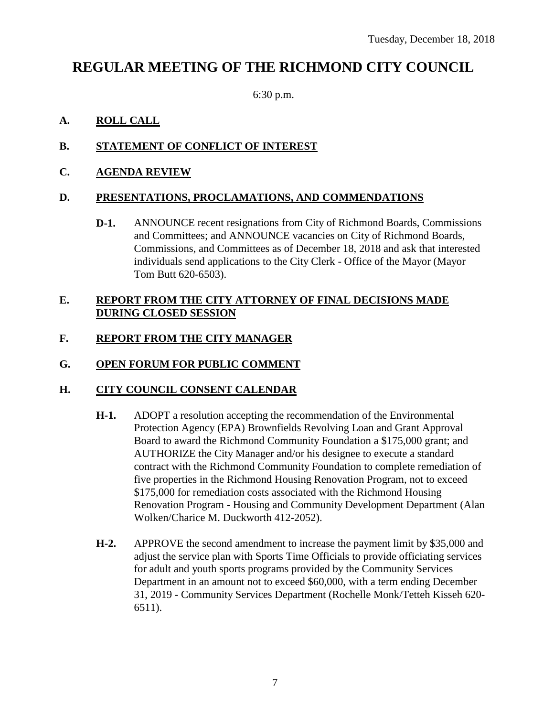## **REGULAR MEETING OF THE RICHMOND CITY COUNCIL**

6:30 p.m.

### **A. ROLL CALL**

### **B. STATEMENT OF CONFLICT OF INTEREST**

#### **C. AGENDA REVIEW**

#### **D. PRESENTATIONS, PROCLAMATIONS, AND COMMENDATIONS**

**D-1.** ANNOUNCE recent resignations from City of Richmond Boards, Commissions and Committees; and ANNOUNCE vacancies on City of Richmond Boards, Commissions, and Committees as of December 18, 2018 and ask that interested individuals send applications to the City Clerk - Office of the Mayor (Mayor Tom Butt 620-6503).

#### **E. REPORT FROM THE CITY ATTORNEY OF FINAL DECISIONS MADE DURING CLOSED SESSION**

## **F. REPORT FROM THE CITY MANAGER**

#### **G. OPEN FORUM FOR PUBLIC COMMENT**

#### **H. CITY COUNCIL CONSENT CALENDAR**

- **H-1.** ADOPT a resolution accepting the recommendation of the Environmental Protection Agency (EPA) Brownfields Revolving Loan and Grant Approval Board to award the Richmond Community Foundation a \$175,000 grant; and AUTHORIZE the City Manager and/or his designee to execute a standard contract with the Richmond Community Foundation to complete remediation of five properties in the Richmond Housing Renovation Program, not to exceed \$175,000 for remediation costs associated with the Richmond Housing Renovation Program - Housing and Community Development Department (Alan Wolken/Charice M. Duckworth 412-2052).
- **H-2.** APPROVE the second amendment to increase the payment limit by \$35,000 and adjust the service plan with Sports Time Officials to provide officiating services for adult and youth sports programs provided by the Community Services Department in an amount not to exceed \$60,000, with a term ending December 31, 2019 - Community Services Department (Rochelle Monk/Tetteh Kisseh 620- 6511).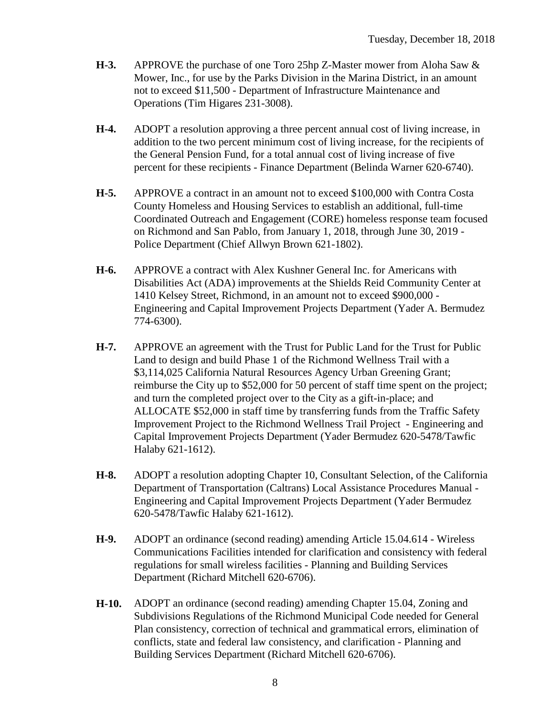- **H-3.** APPROVE the purchase of one Toro 25hp Z-Master mower from Aloha Saw & Mower, Inc., for use by the Parks Division in the Marina District, in an amount not to exceed \$11,500 - Department of Infrastructure Maintenance and Operations (Tim Higares 231-3008).
- **H-4.** ADOPT a resolution approving a three percent annual cost of living increase, in addition to the two percent minimum cost of living increase, for the recipients of the General Pension Fund, for a total annual cost of living increase of five percent for these recipients - Finance Department (Belinda Warner 620-6740).
- **H-5.** APPROVE a contract in an amount not to exceed \$100,000 with Contra Costa County Homeless and Housing Services to establish an additional, full-time Coordinated Outreach and Engagement (CORE) homeless response team focused on Richmond and San Pablo, from January 1, 2018, through June 30, 2019 - Police Department (Chief Allwyn Brown 621-1802).
- **H-6.** APPROVE a contract with Alex Kushner General Inc. for Americans with Disabilities Act (ADA) improvements at the Shields Reid Community Center at 1410 Kelsey Street, Richmond, in an amount not to exceed \$900,000 - Engineering and Capital Improvement Projects Department (Yader A. Bermudez 774-6300).
- **H-7.** APPROVE an agreement with the Trust for Public Land for the Trust for Public Land to design and build Phase 1 of the Richmond Wellness Trail with a \$3,114,025 California Natural Resources Agency Urban Greening Grant; reimburse the City up to \$52,000 for 50 percent of staff time spent on the project; and turn the completed project over to the City as a gift-in-place; and ALLOCATE \$52,000 in staff time by transferring funds from the Traffic Safety Improvement Project to the Richmond Wellness Trail Project - Engineering and Capital Improvement Projects Department (Yader Bermudez 620-5478/Tawfic Halaby 621-1612).
- **H-8.** ADOPT a resolution adopting Chapter 10, Consultant Selection, of the California Department of Transportation (Caltrans) Local Assistance Procedures Manual - Engineering and Capital Improvement Projects Department (Yader Bermudez 620-5478/Tawfic Halaby 621-1612).
- **H-9.** ADOPT an ordinance (second reading) amending Article 15.04.614 Wireless Communications Facilities intended for clarification and consistency with federal regulations for small wireless facilities - Planning and Building Services Department (Richard Mitchell 620-6706).
- **H-10.** ADOPT an ordinance (second reading) amending Chapter 15.04, Zoning and Subdivisions Regulations of the Richmond Municipal Code needed for General Plan consistency, correction of technical and grammatical errors, elimination of conflicts, state and federal law consistency, and clarification - Planning and Building Services Department (Richard Mitchell 620-6706).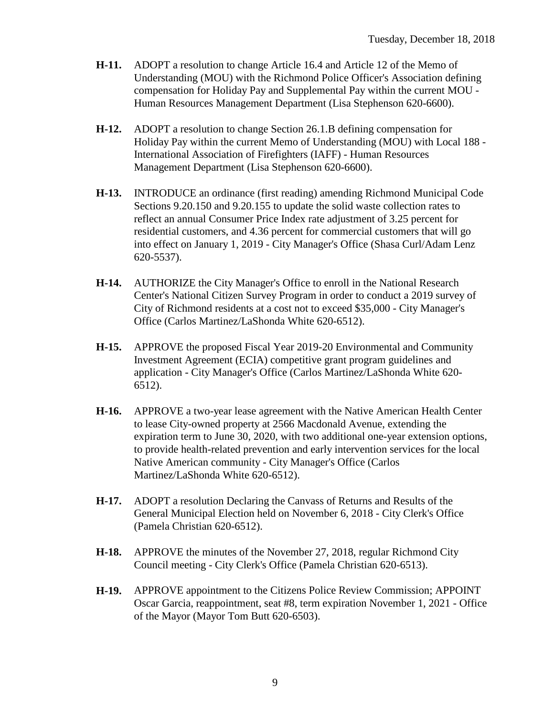- **H-11.** ADOPT a resolution to change Article 16.4 and Article 12 of the Memo of Understanding (MOU) with the Richmond Police Officer's Association defining compensation for Holiday Pay and Supplemental Pay within the current MOU - Human Resources Management Department (Lisa Stephenson 620-6600).
- **H-12.** ADOPT a resolution to change Section 26.1.B defining compensation for Holiday Pay within the current Memo of Understanding (MOU) with Local 188 - International Association of Firefighters (IAFF) - Human Resources Management Department (Lisa Stephenson 620-6600).
- **H-13.** INTRODUCE an ordinance (first reading) amending Richmond Municipal Code Sections 9.20.150 and 9.20.155 to update the solid waste collection rates to reflect an annual Consumer Price Index rate adjustment of 3.25 percent for residential customers, and 4.36 percent for commercial customers that will go into effect on January 1, 2019 - City Manager's Office (Shasa Curl/Adam Lenz 620-5537).
- **H-14.** AUTHORIZE the City Manager's Office to enroll in the National Research Center's National Citizen Survey Program in order to conduct a 2019 survey of City of Richmond residents at a cost not to exceed \$35,000 - City Manager's Office (Carlos Martinez/LaShonda White 620-6512).
- **H-15.** APPROVE the proposed Fiscal Year 2019-20 Environmental and Community Investment Agreement (ECIA) competitive grant program guidelines and application - City Manager's Office (Carlos Martinez/LaShonda White 620- 6512).
- **H-16.** APPROVE a two-year lease agreement with the Native American Health Center to lease City-owned property at 2566 Macdonald Avenue, extending the expiration term to June 30, 2020, with two additional one-year extension options, to provide health-related prevention and early intervention services for the local Native American community - City Manager's Office (Carlos Martinez/LaShonda White 620-6512).
- **H-17.** ADOPT a resolution Declaring the Canvass of Returns and Results of the General Municipal Election held on November 6, 2018 - City Clerk's Office (Pamela Christian 620-6512).
- **H-18.** APPROVE the minutes of the November 27, 2018, regular Richmond City Council meeting - City Clerk's Office (Pamela Christian 620-6513).
- **H-19.** APPROVE appointment to the Citizens Police Review Commission; APPOINT Oscar Garcia, reappointment, seat #8, term expiration November 1, 2021 - Office of the Mayor (Mayor Tom Butt 620-6503).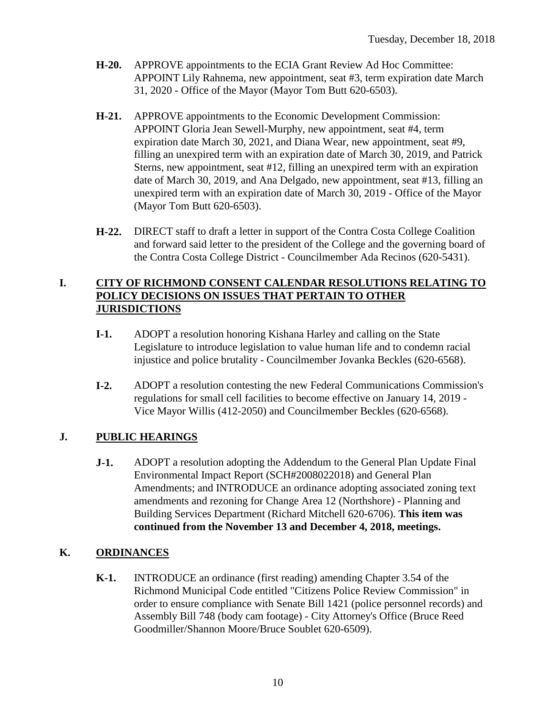- **H-20.** APPROVE appointments to the ECIA Grant Review Ad Hoc Committee: APPOINT Lily Rahnema, new appointment, seat #3, term expiration date March 31, 2020 - Office of the Mayor (Mayor Tom Butt 620-6503).
- **H-21.** APPROVE appointments to the Economic Development Commission: APPOINT Gloria Jean Sewell-Murphy, new appointment, seat #4, term expiration date March 30, 2021, and Diana Wear, new appointment, seat #9, filling an unexpired term with an expiration date of March 30, 2019, and Patrick Sterns, new appointment, seat #12, filling an unexpired term with an expiration date of March 30, 2019, and Ana Delgado, new appointment, seat #13, filling an unexpired term with an expiration date of March 30, 2019 - Office of the Mayor (Mayor Tom Butt 620-6503).
- **H-22.** DIRECT staff to draft a letter in support of the Contra Costa College Coalition and forward said letter to the president of the College and the governing board of the Contra Costa College District - Councilmember Ada Recinos (620-5431).

#### **I. CITY OF RICHMOND CONSENT CALENDAR RESOLUTIONS RELATING TO POLICY DECISIONS ON ISSUES THAT PERTAIN TO OTHER JURISDICTIONS**

- **I-1.** ADOPT a resolution honoring Kishana Harley and calling on the State Legislature to introduce legislation to value human life and to condemn racial injustice and police brutality - Councilmember Jovanka Beckles (620-6568).
- **I-2.** ADOPT a resolution contesting the new Federal Communications Commission's regulations for small cell facilities to become effective on January 14, 2019 - Vice Mayor Willis (412-2050) and Councilmember Beckles (620-6568).

## **J. PUBLIC HEARINGS**

**J-1.** ADOPT a resolution adopting the Addendum to the General Plan Update Final Environmental Impact Report (SCH#2008022018) and General Plan Amendments; and INTRODUCE an ordinance adopting associated zoning text amendments and rezoning for Change Area 12 (Northshore) - Planning and Building Services Department (Richard Mitchell 620-6706). **This item was continued from the November 13 and December 4, 2018, meetings.**

## **K. ORDINANCES**

**K-1.** INTRODUCE an ordinance (first reading) amending Chapter 3.54 of the Richmond Municipal Code entitled "Citizens Police Review Commission" in order to ensure compliance with Senate Bill 1421 (police personnel records) and Assembly Bill 748 (body cam footage) - City Attorney's Office (Bruce Reed Goodmiller/Shannon Moore/Bruce Soublet 620-6509).